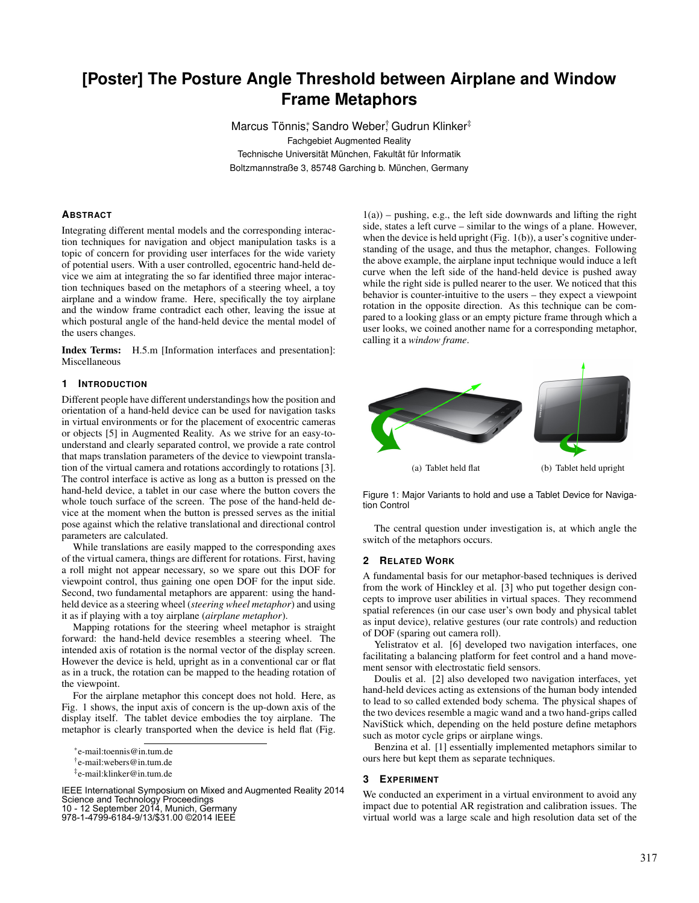# **[Poster] The Posture Angle Threshold between Airplane and Window Frame Metaphors**

Marcus Tönnis; Sandro Weber; Gudrun Klinker‡ Fachgebiet Augmented Reality Technische Universität München, Fakultät für Informatik Boltzmannstraße 3, 85748 Garching b. München, Germany

# **ABSTRACT**

Integrating different mental models and the corresponding interaction techniques for navigation and object manipulation tasks is a topic of concern for providing user interfaces for the wide variety of potential users. With a user controlled, egocentric hand-held device we aim at integrating the so far identified three major interaction techniques based on the metaphors of a steering wheel, a toy airplane and a window frame. Here, specifically the toy airplane and the window frame contradict each other, leaving the issue at which postural angle of the hand-held device the mental model of the users changes.

Index Terms: H.5.m [Information interfaces and presentation]: Miscellaneous

# **1 INTRODUCTION**

Different people have different understandings how the position and orientation of a hand-held device can be used for navigation tasks in virtual environments or for the placement of exocentric cameras or objects [5] in Augmented Reality. As we strive for an easy-tounderstand and clearly separated control, we provide a rate control that maps translation parameters of the device to viewpoint translation of the virtual camera and rotations accordingly to rotations [3]. The control interface is active as long as a button is pressed on the hand-held device, a tablet in our case where the button covers the whole touch surface of the screen. The pose of the hand-held device at the moment when the button is pressed serves as the initial pose against which the relative translational and directional control parameters are calculated.

While translations are easily mapped to the corresponding axes of the virtual camera, things are different for rotations. First, having a roll might not appear necessary, so we spare out this DOF for viewpoint control, thus gaining one open DOF for the input side. Second, two fundamental metaphors are apparent: using the handheld device as a steering wheel (*steering wheel metaphor*) and using it as if playing with a toy airplane (*airplane metaphor*).

Mapping rotations for the steering wheel metaphor is straight forward: the hand-held device resembles a steering wheel. The intended axis of rotation is the normal vector of the display screen. However the device is held, upright as in a conventional car or flat as in a truck, the rotation can be mapped to the heading rotation of the viewpoint.

For the airplane metaphor this concept does not hold. Here, as Fig. 1 shows, the input axis of concern is the up-down axis of the display itself. The tablet device embodies the toy airplane. The metaphor is clearly transported when the device is held flat (Fig.

IEEE International Symposium on Mixed and Augmented Reality 2014 Science and Technology Proceedings 10 - 12 September 2014, Munich, Germany

978-1-4799-6184-9/13/\$31.00 ©2014 IEEE

 $1(a)$ ) – pushing, e.g., the left side downwards and lifting the right side, states a left curve – similar to the wings of a plane. However, when the device is held upright (Fig.  $1(b)$ ), a user's cognitive understanding of the usage, and thus the metaphor, changes. Following the above example, the airplane input technique would induce a left curve when the left side of the hand-held device is pushed away while the right side is pulled nearer to the user. We noticed that this behavior is counter-intuitive to the users – they expect a viewpoint rotation in the opposite direction. As this technique can be compared to a looking glass or an empty picture frame through which a user looks, we coined another name for a corresponding metaphor, calling it a *window frame*.



Figure 1: Major Variants to hold and use a Tablet Device for Navigation Control

The central question under investigation is, at which angle the switch of the metaphors occurs.

### **2 RELATED WORK**

A fundamental basis for our metaphor-based techniques is derived from the work of Hinckley et al. [3] who put together design concepts to improve user abilities in virtual spaces. They recommend spatial references (in our case user's own body and physical tablet as input device), relative gestures (our rate controls) and reduction of DOF (sparing out camera roll).

Yelistratov et al. [6] developed two navigation interfaces, one facilitating a balancing platform for feet control and a hand movement sensor with electrostatic field sensors.

Doulis et al. [2] also developed two navigation interfaces, yet hand-held devices acting as extensions of the human body intended to lead to so called extended body schema. The physical shapes of the two devices resemble a magic wand and a two hand-grips called NaviStick which, depending on the held posture define metaphors such as motor cycle grips or airplane wings.

Benzina et al. [1] essentially implemented metaphors similar to ours here but kept them as separate techniques.

#### **3 EXPERIMENT**

We conducted an experiment in a virtual environment to avoid any impact due to potential AR registration and calibration issues. The virtual world was a large scale and high resolution data set of the

<sup>∗</sup> e-mail:toennis@in.tum.de

<sup>†</sup> e-mail:webers@in.tum.de

<sup>‡</sup> e-mail:klinker@in.tum.de